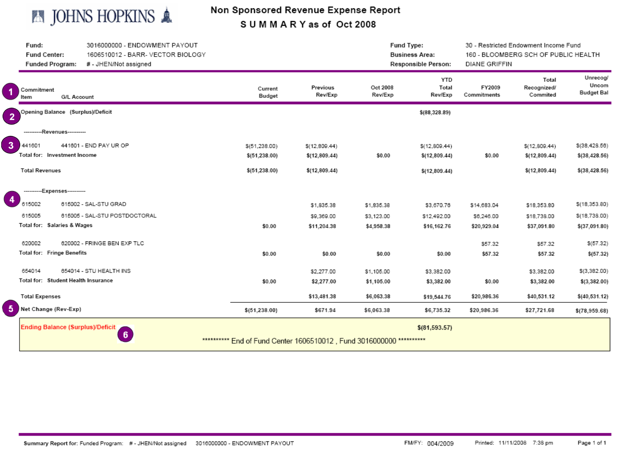

# Non Sponsored Revenue Expense Report SUMMARY as of Oct 2008

|                  | Fund:<br>Fund Center:<br><b>Funded Program:</b>                       | 3016000000 - ENDOWMENT PAYOUT<br>1606510012 - BARR- VECTOR BIOLOGY<br># - JHEN/Not assigned |                   | Fund Type:<br><b>Business Area:</b><br>Responsible Person: |                     | 30 - Restricted Endowment Income Fund<br>160 - BLOOMBERG SCH OF PUBLIC HEALTH<br><b>DIANE GRIFFIN</b> |                       |                                  |                                        |
|------------------|-----------------------------------------------------------------------|---------------------------------------------------------------------------------------------|-------------------|------------------------------------------------------------|---------------------|-------------------------------------------------------------------------------------------------------|-----------------------|----------------------------------|----------------------------------------|
|                  | Commitment<br>G/L Account<br>Item                                     |                                                                                             | Current<br>Budget | Previous<br>Rev/Exp                                        | Oct 2008<br>Rev/Exp | <b>YTD</b><br>Total<br>Rev/Exp                                                                        | FY2009<br>Commitments | Total<br>Recognized/<br>Commited | Unrecog/<br>Uncom<br><b>Budget Bal</b> |
| $\overline{2}$   | Opening Balance (Surplus)/Deficit                                     |                                                                                             |                   |                                                            |                     | \$(88,328.89)                                                                                         |                       |                                  |                                        |
|                  | ----------Revenues-----------                                         |                                                                                             |                   |                                                            |                     |                                                                                                       |                       |                                  |                                        |
| $\overline{3}$   | 441601                                                                | 441601 - END PAY UR OP                                                                      | \$(51, 238.00)    | \$(12,809.44)                                              |                     | \$(12,809.44)                                                                                         |                       | \$(12,809.44)                    | \$(38,428.56)                          |
|                  | Total for: Investment Income                                          |                                                                                             | \$(51, 238.00)    | \$(12,809.44)                                              | \$0.00              | \$(12,809.44)                                                                                         | \$0.00                | \$(12,809.44)                    | \$(38,428.56)                          |
|                  | <b>Total Revenues</b>                                                 |                                                                                             | \$(51, 238.00)    | \$(12,809.44)                                              |                     | \$(12,809.44)                                                                                         |                       | \$(12,809.44)                    | \$(38,428.56)                          |
|                  | ----------Expenses----------                                          |                                                                                             |                   |                                                            |                     |                                                                                                       |                       |                                  |                                        |
| $\boldsymbol{4}$ | 615002                                                                | 615002 - SAL-STU GRAD                                                                       |                   | \$1,835.38                                                 | \$1,835.38          | \$3,670.76                                                                                            | \$14,683.04           | \$18,353.80                      | \$(18,353.80)                          |
|                  | 615005                                                                | 615005 - SAL-STU POSTDOCTORAL                                                               |                   | \$9,369.00                                                 | \$3,123.00          | \$12,492.00                                                                                           | \$6,246.00            | \$18,738.00                      | \$(18,738.00)                          |
|                  | Total for: Salaries & Wages                                           |                                                                                             | \$0.00            | \$11,204.38                                                | \$4,958.38          | \$16,162.76                                                                                           | \$20,929.04           | \$37,091.80                      | \$(37,091.80)                          |
|                  | 620002                                                                | 620002 - FRINGE BEN EXP TLC                                                                 |                   |                                                            |                     |                                                                                                       | \$57.32               | \$57.32                          | \$(57.32)                              |
|                  | Total for: Fringe Benefits                                            |                                                                                             | \$0.00            | \$0.00                                                     | \$0.00              | \$0.00                                                                                                | \$57.32               | \$57.32                          | \$(57.32)                              |
|                  | 654014                                                                | 654014 - STU HEALTH INS                                                                     |                   | \$2,277.00                                                 | \$1,105.00          | \$3,382.00                                                                                            |                       | \$3,382.00                       | \$(3,382.00)                           |
|                  | Total for: Student Health Insurance                                   |                                                                                             | \$0.00            | \$2,277.00                                                 | \$1,105.00          | \$3,382.00                                                                                            | \$0.00                | \$3,382.00                       | \$(3,382.00)                           |
|                  | <b>Total Expenses</b>                                                 |                                                                                             |                   | \$13,481.38                                                | \$6,063.38          | \$19,544.76                                                                                           | \$20,986.36           | \$40,531.12                      | \$(40, 531.12)                         |
| $\sqrt{5}$       | Net Change (Rev-Exp)                                                  |                                                                                             | \$(51, 238.00)    | \$671.94                                                   | \$6,063.38          | \$6,735.32                                                                                            | \$20,986.36           | \$27,721.68                      | \$(78,959.68)                          |
|                  | <b>Ending Balance (Surplus)/Deficit</b><br>6                          |                                                                                             |                   |                                                            |                     | \$(81, 593.57)                                                                                        |                       |                                  |                                        |
|                  | *********** End of Fund Center 1606510012, Fund 3016000000 ********** |                                                                                             |                   |                                                            |                     |                                                                                                       |                       |                                  |                                        |